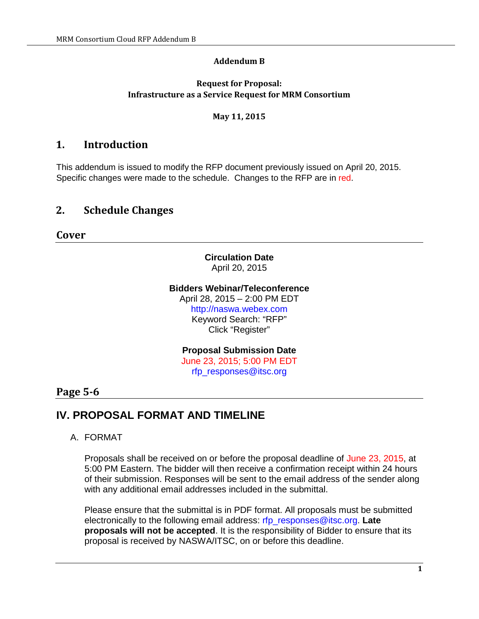#### **Addendum B**

#### **Request for Proposal: Infrastructure as a Service Request for MRM Consortium**

#### **May 11, 2015**

## **1. Introduction**

This addendum is issued to modify the RFP document previously issued on April 20, 2015. Specific changes were made to the schedule. Changes to the RFP are in red.

## **2. Schedule Changes**

**Cover**

### **Circulation Date** April 20, 2015

#### **Bidders Webinar/Teleconference**

April 28, 2015 – 2:00 PM EDT http://naswa.webex.com Keyword Search: "RFP" Click "Register"

# **Proposal Submission Date**

June 23, 2015; 5:00 PM EDT rfp\_responses@itsc.org

### **Page 5-6**

# **IV. PROPOSAL FORMAT AND TIMELINE**

#### A. FORMAT

Proposals shall be received on or before the proposal deadline of June 23, 2015, at 5:00 PM Eastern. The bidder will then receive a confirmation receipt within 24 hours of their submission. Responses will be sent to the email address of the sender along with any additional email addresses included in the submittal.

Please ensure that the submittal is in PDF format. All proposals must be submitted electronically to the following email address: rfp\_responses@itsc.org. **Late proposals will not be accepted**. It is the responsibility of Bidder to ensure that its proposal is received by NASWA/ITSC, on or before this deadline.